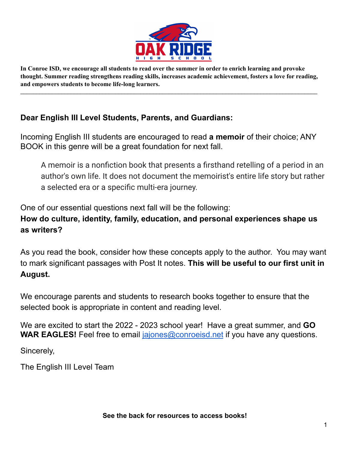

In Conroe ISD, we encourage all students to read over the summer in order to enrich learning and provoke **thought. Summer reading strengthens reading skills, increases academic achievement, fosters a love for reading, and empowers students to become life-long learners.**

 $\mathcal{L}_\mathcal{L}$  , and the contribution of the contribution of the contribution of the contribution of the contribution of the contribution of the contribution of the contribution of the contribution of the contribution of

## **Dear English III Level Students, Parents, and Guardians:**

Incoming English III students are encouraged to read **a memoir** of their choice; ANY BOOK in this genre will be a great foundation for next fall.

A memoir is a nonfiction book that presents a firsthand retelling of a period in an author's own life. It does not document the memoirist's entire life story but rather a selected era or a specific multi-era journey.

One of our essential questions next fall will be the following:

## **How do culture, identity, family, education, and personal experiences shape us as writers?**

As you read the book, consider how these concepts apply to the author. You may want to mark significant passages with Post It notes. **This will be useful to our first unit in August.**

We encourage parents and students to research books together to ensure that the selected book is appropriate in content and reading level.

We are excited to start the 2022 - 2023 school year! Have a great summer, and **GO WAR EAGLES!** Feel free to email [jajones@conroeisd.net](mailto:jajones@conroeisd.net) if you have any questions.

Sincerely,

The English III Level Team